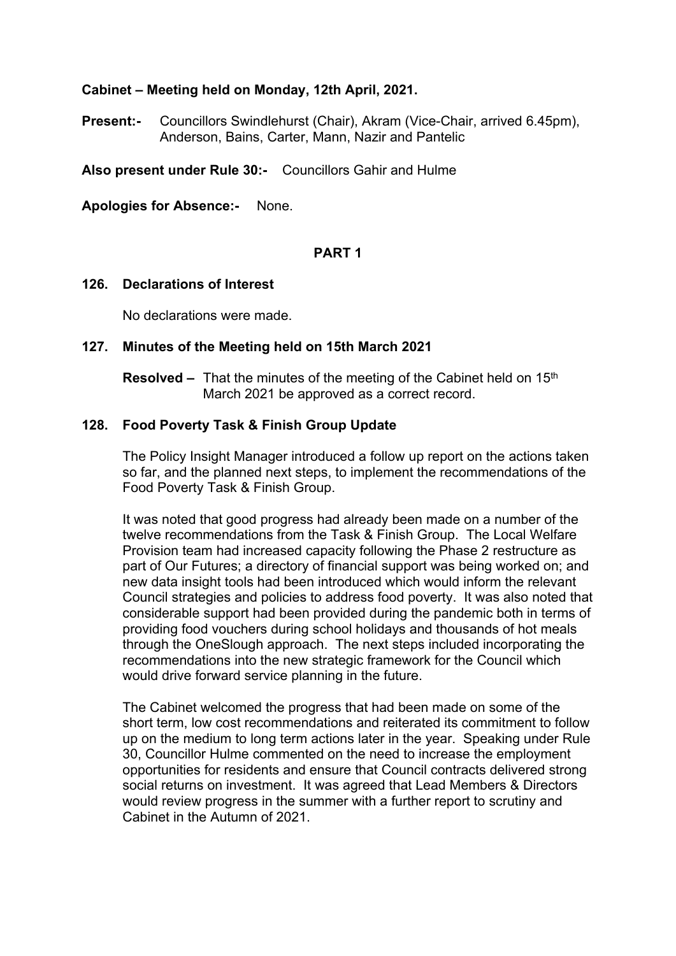### **Cabinet – Meeting held on Monday, 12th April, 2021.**

**Present:-** Councillors Swindlehurst (Chair), Akram (Vice-Chair, arrived 6.45pm), Anderson, Bains, Carter, Mann, Nazir and Pantelic

**Also present under Rule 30:-** Councillors Gahir and Hulme

**Apologies for Absence:-** None.

### **PART 1**

#### **126. Declarations of Interest**

No declarations were made.

#### **127. Minutes of the Meeting held on 15th March 2021**

**Resolved** – That the minutes of the meeting of the Cabinet held on 15<sup>th</sup> March 2021 be approved as a correct record.

#### **128. Food Poverty Task & Finish Group Update**

The Policy Insight Manager introduced a follow up report on the actions taken so far, and the planned next steps, to implement the recommendations of the Food Poverty Task & Finish Group.

It was noted that good progress had already been made on a number of the twelve recommendations from the Task & Finish Group. The Local Welfare Provision team had increased capacity following the Phase 2 restructure as part of Our Futures; a directory of financial support was being worked on; and new data insight tools had been introduced which would inform the relevant Council strategies and policies to address food poverty. It was also noted that considerable support had been provided during the pandemic both in terms of providing food vouchers during school holidays and thousands of hot meals through the OneSlough approach. The next steps included incorporating the recommendations into the new strategic framework for the Council which would drive forward service planning in the future.

The Cabinet welcomed the progress that had been made on some of the short term, low cost recommendations and reiterated its commitment to follow up on the medium to long term actions later in the year. Speaking under Rule 30, Councillor Hulme commented on the need to increase the employment opportunities for residents and ensure that Council contracts delivered strong social returns on investment. It was agreed that Lead Members & Directors would review progress in the summer with a further report to scrutiny and Cabinet in the Autumn of 2021.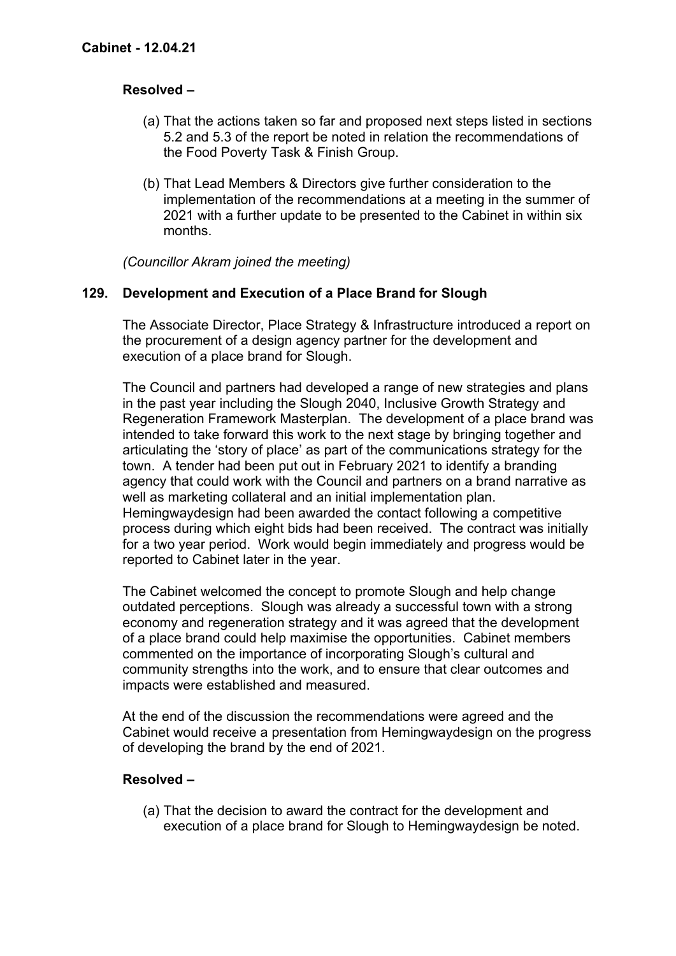## **Resolved –**

- (a) That the actions taken so far and proposed next steps listed in sections 5.2 and 5.3 of the report be noted in relation the recommendations of the Food Poverty Task & Finish Group.
- (b) That Lead Members & Directors give further consideration to the implementation of the recommendations at a meeting in the summer of 2021 with a further update to be presented to the Cabinet in within six months.

*(Councillor Akram joined the meeting)*

### **129. Development and Execution of a Place Brand for Slough**

The Associate Director, Place Strategy & Infrastructure introduced a report on the procurement of a design agency partner for the development and execution of a place brand for Slough.

The Council and partners had developed a range of new strategies and plans in the past year including the Slough 2040, Inclusive Growth Strategy and Regeneration Framework Masterplan. The development of a place brand was intended to take forward this work to the next stage by bringing together and articulating the 'story of place' as part of the communications strategy for the town. A tender had been put out in February 2021 to identify a branding agency that could work with the Council and partners on a brand narrative as well as marketing collateral and an initial implementation plan. Hemingwaydesign had been awarded the contact following a competitive process during which eight bids had been received. The contract was initially for a two year period. Work would begin immediately and progress would be reported to Cabinet later in the year.

The Cabinet welcomed the concept to promote Slough and help change outdated perceptions. Slough was already a successful town with a strong economy and regeneration strategy and it was agreed that the development of a place brand could help maximise the opportunities. Cabinet members commented on the importance of incorporating Slough's cultural and community strengths into the work, and to ensure that clear outcomes and impacts were established and measured.

At the end of the discussion the recommendations were agreed and the Cabinet would receive a presentation from Hemingwaydesign on the progress of developing the brand by the end of 2021.

### **Resolved –**

(a) That the decision to award the contract for the development and execution of a place brand for Slough to Hemingwaydesign be noted.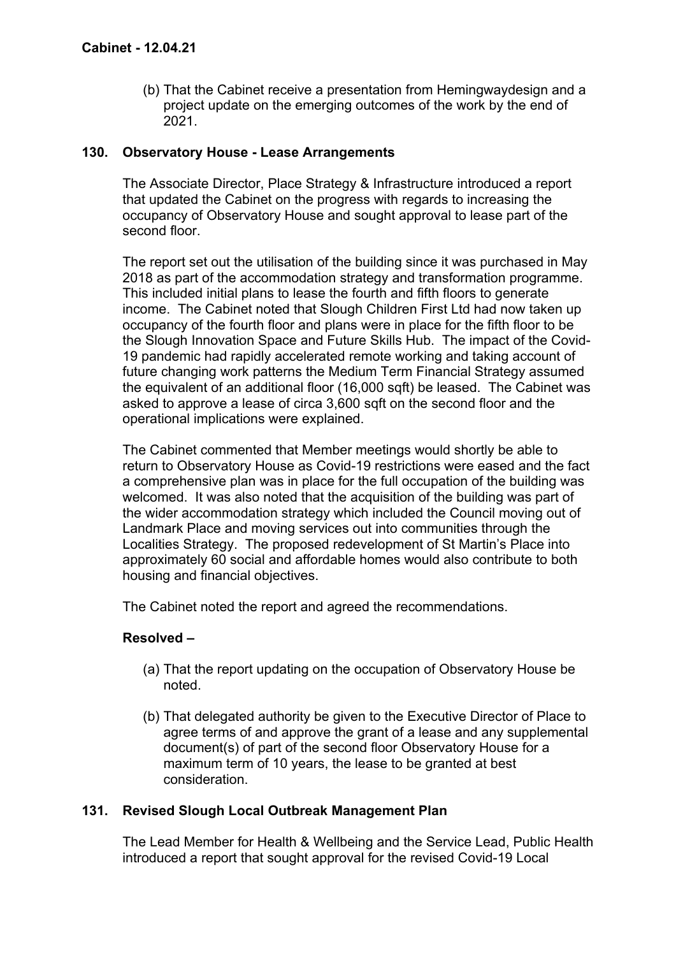(b) That the Cabinet receive a presentation from Hemingwaydesign and a project update on the emerging outcomes of the work by the end of 2021.

### **130. Observatory House - Lease Arrangements**

The Associate Director, Place Strategy & Infrastructure introduced a report that updated the Cabinet on the progress with regards to increasing the occupancy of Observatory House and sought approval to lease part of the second floor.

The report set out the utilisation of the building since it was purchased in May 2018 as part of the accommodation strategy and transformation programme. This included initial plans to lease the fourth and fifth floors to generate income. The Cabinet noted that Slough Children First Ltd had now taken up occupancy of the fourth floor and plans were in place for the fifth floor to be the Slough Innovation Space and Future Skills Hub. The impact of the Covid-19 pandemic had rapidly accelerated remote working and taking account of future changing work patterns the Medium Term Financial Strategy assumed the equivalent of an additional floor (16,000 sqft) be leased. The Cabinet was asked to approve a lease of circa 3,600 sqft on the second floor and the operational implications were explained.

The Cabinet commented that Member meetings would shortly be able to return to Observatory House as Covid-19 restrictions were eased and the fact a comprehensive plan was in place for the full occupation of the building was welcomed. It was also noted that the acquisition of the building was part of the wider accommodation strategy which included the Council moving out of Landmark Place and moving services out into communities through the Localities Strategy. The proposed redevelopment of St Martin's Place into approximately 60 social and affordable homes would also contribute to both housing and financial objectives.

The Cabinet noted the report and agreed the recommendations.

### **Resolved –**

- (a) That the report updating on the occupation of Observatory House be noted.
- (b) That delegated authority be given to the Executive Director of Place to agree terms of and approve the grant of a lease and any supplemental document(s) of part of the second floor Observatory House for a maximum term of 10 years, the lease to be granted at best consideration.

### **131. Revised Slough Local Outbreak Management Plan**

The Lead Member for Health & Wellbeing and the Service Lead, Public Health introduced a report that sought approval for the revised Covid-19 Local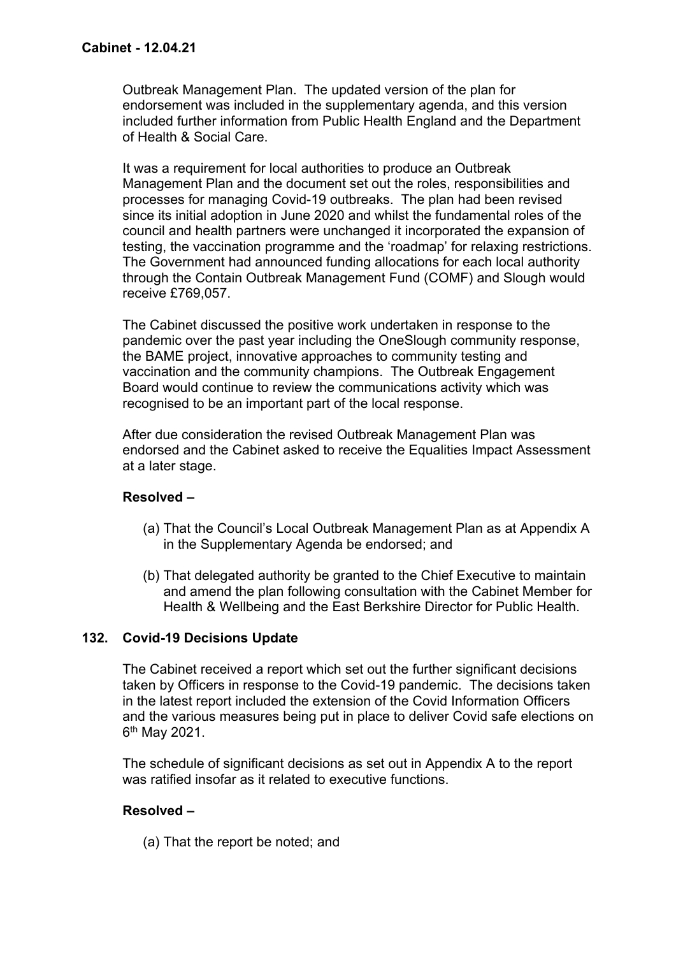Outbreak Management Plan. The updated version of the plan for endorsement was included in the supplementary agenda, and this version included further information from Public Health England and the Department of Health & Social Care.

It was a requirement for local authorities to produce an Outbreak Management Plan and the document set out the roles, responsibilities and processes for managing Covid-19 outbreaks. The plan had been revised since its initial adoption in June 2020 and whilst the fundamental roles of the council and health partners were unchanged it incorporated the expansion of testing, the vaccination programme and the 'roadmap' for relaxing restrictions. The Government had announced funding allocations for each local authority through the Contain Outbreak Management Fund (COMF) and Slough would receive £769,057.

The Cabinet discussed the positive work undertaken in response to the pandemic over the past year including the OneSlough community response, the BAME project, innovative approaches to community testing and vaccination and the community champions. The Outbreak Engagement Board would continue to review the communications activity which was recognised to be an important part of the local response.

After due consideration the revised Outbreak Management Plan was endorsed and the Cabinet asked to receive the Equalities Impact Assessment at a later stage.

### **Resolved –**

- (a) That the Council's Local Outbreak Management Plan as at Appendix A in the Supplementary Agenda be endorsed; and
- (b) That delegated authority be granted to the Chief Executive to maintain and amend the plan following consultation with the Cabinet Member for Health & Wellbeing and the East Berkshire Director for Public Health.

### **132. Covid-19 Decisions Update**

The Cabinet received a report which set out the further significant decisions taken by Officers in response to the Covid-19 pandemic. The decisions taken in the latest report included the extension of the Covid Information Officers and the various measures being put in place to deliver Covid safe elections on 6<sup>th</sup> May 2021.

The schedule of significant decisions as set out in Appendix A to the report was ratified insofar as it related to executive functions.

### **Resolved –**

(a) That the report be noted; and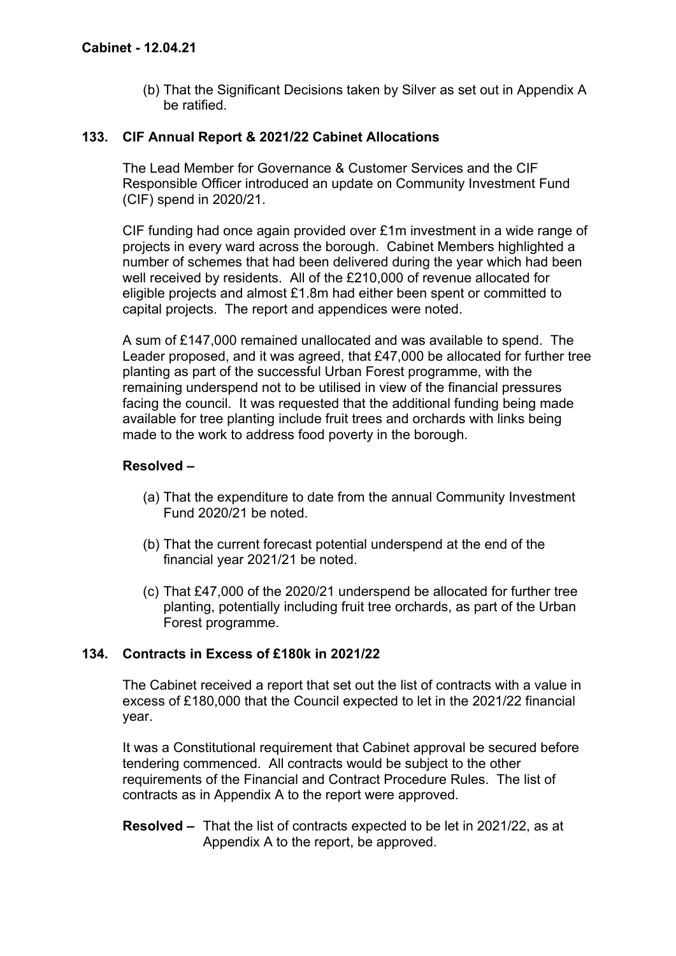(b) That the Significant Decisions taken by Silver as set out in Appendix A be ratified.

## **133. CIF Annual Report & 2021/22 Cabinet Allocations**

The Lead Member for Governance & Customer Services and the CIF Responsible Officer introduced an update on Community Investment Fund (CIF) spend in 2020/21.

CIF funding had once again provided over £1m investment in a wide range of projects in every ward across the borough. Cabinet Members highlighted a number of schemes that had been delivered during the year which had been well received by residents. All of the £210,000 of revenue allocated for eligible projects and almost  $£1.8m$  had either been spent or committed to capital projects. The report and appendices were noted.

A sum of £147,000 remained unallocated and was available to spend. The Leader proposed, and it was agreed, that £47,000 be allocated for further tree planting as part of the successful Urban Forest programme, with the remaining underspend not to be utilised in view of the financial pressures facing the council. It was requested that the additional funding being made available for tree planting include fruit trees and orchards with links being made to the work to address food poverty in the borough.

## **Resolved –**

- (a) That the expenditure to date from the annual Community Investment Fund 2020/21 be noted.
- (b) That the current forecast potential underspend at the end of the financial year 2021/21 be noted.
- (c) That £47,000 of the 2020/21 underspend be allocated for further tree planting, potentially including fruit tree orchards, as part of the Urban Forest programme.

# **134. Contracts in Excess of £180k in 2021/22**

The Cabinet received a report that set out the list of contracts with a value in excess of £180,000 that the Council expected to let in the 2021/22 financial year.

It was a Constitutional requirement that Cabinet approval be secured before tendering commenced. All contracts would be subject to the other requirements of the Financial and Contract Procedure Rules. The list of contracts as in Appendix A to the report were approved.

**Resolved –** That the list of contracts expected to be let in 2021/22, as at Appendix A to the report, be approved.